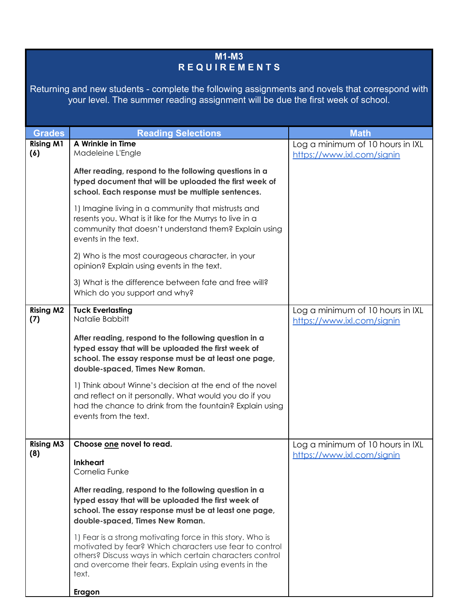| <b>M1-M3</b><br><b>REQUIREMENTS</b>                                                                                                                                                |                                                                                                                                                                                                                                                                                                                                          |                                                                |  |  |
|------------------------------------------------------------------------------------------------------------------------------------------------------------------------------------|------------------------------------------------------------------------------------------------------------------------------------------------------------------------------------------------------------------------------------------------------------------------------------------------------------------------------------------|----------------------------------------------------------------|--|--|
| Returning and new students - complete the following assignments and novels that correspond with<br>your level. The summer reading assignment will be due the first week of school. |                                                                                                                                                                                                                                                                                                                                          |                                                                |  |  |
| <b>Grades</b>                                                                                                                                                                      | <b>Reading Selections</b>                                                                                                                                                                                                                                                                                                                | <b>Math</b>                                                    |  |  |
| <b>Rising M1</b><br>(6)                                                                                                                                                            | A Wrinkle in Time<br>Madeleine L'Engle                                                                                                                                                                                                                                                                                                   | Log a minimum of 10 hours in IXL<br>https://www.ixl.com/signin |  |  |
|                                                                                                                                                                                    | After reading, respond to the following questions in a<br>typed document that will be uploaded the first week of<br>school. Each response must be multiple sentences.                                                                                                                                                                    |                                                                |  |  |
|                                                                                                                                                                                    | 1) Imagine living in a community that mistrusts and<br>resents you. What is it like for the Murrys to live in a<br>community that doesn't understand them? Explain using<br>events in the text.                                                                                                                                          |                                                                |  |  |
|                                                                                                                                                                                    | 2) Who is the most courageous character, in your<br>opinion? Explain using events in the text.                                                                                                                                                                                                                                           |                                                                |  |  |
|                                                                                                                                                                                    | 3) What is the difference between fate and free will?<br>Which do you support and why?                                                                                                                                                                                                                                                   |                                                                |  |  |
| <b>Rising M2</b><br>(7)                                                                                                                                                            | <b>Tuck Everlasting</b><br>Natalie Babbitt                                                                                                                                                                                                                                                                                               | Log a minimum of 10 hours in IXL<br>https://www.ixl.com/signin |  |  |
|                                                                                                                                                                                    | After reading, respond to the following question in a<br>typed essay that will be uploaded the first week of<br>school. The essay response must be at least one page,<br>double-spaced, Times New Roman.                                                                                                                                 |                                                                |  |  |
|                                                                                                                                                                                    | 1) Think about Winne's decision at the end of the novel<br>and reflect on it personally. What would you do if you<br>had the chance to drink from the fountain? Explain using<br>events from the text.                                                                                                                                   |                                                                |  |  |
| <b>Rising M3</b><br>(8)                                                                                                                                                            | Choose one novel to read.<br><b>Inkheart</b><br>Cornelia Funke<br>After reading, respond to the following question in a<br>typed essay that will be uploaded the first week of<br>school. The essay response must be at least one page,<br>double-spaced, Times New Roman.<br>1) Fear is a strong motivating force in this story. Who is | Log a minimum of 10 hours in IXL<br>https://www.ixl.com/signin |  |  |
|                                                                                                                                                                                    | motivated by fear? Which characters use fear to control<br>others? Discuss ways in which certain characters control<br>and overcome their fears. Explain using events in the<br>text.                                                                                                                                                    |                                                                |  |  |
|                                                                                                                                                                                    | Eragon                                                                                                                                                                                                                                                                                                                                   |                                                                |  |  |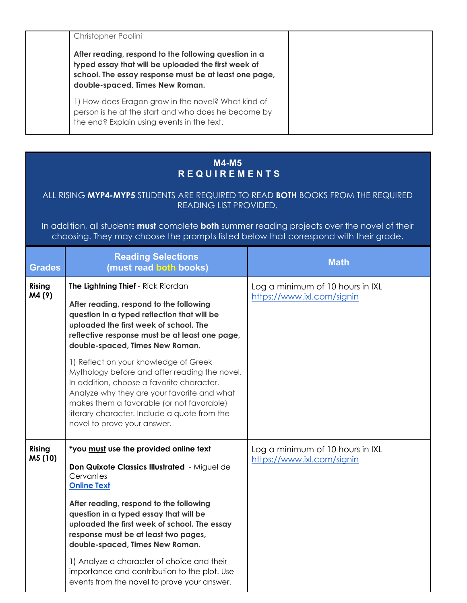| Christopher Paolini                                                                                                                                                                                      |
|----------------------------------------------------------------------------------------------------------------------------------------------------------------------------------------------------------|
| After reading, respond to the following question in a<br>typed essay that will be uploaded the first week of<br>school. The essay response must be at least one page,<br>double-spaced, Times New Roman. |
| 1) How does Eragon grow in the novel? What kind of<br>person is he at the start and who does he become by<br>the end? Explain using events in the text.                                                  |

## **M4-M5 R E Q U I R E M E N T S**

## ALL RISING **MYP4-MYP5** STUDENTS ARE REQUIRED TO READ **BOTH** BOOKS FROM THE REQUIRED READING LIST PROVIDED.

In addition, all students **must** complete **both** summer reading projects over the novel of their choosing. They may choose the prompts listed below that correspond with their grade.

| <b>Grades</b>     | <b>Reading Selections</b><br>(must read both books)                                                                                                                                                                                                                                                                                                   | <b>Math</b>                                                    |
|-------------------|-------------------------------------------------------------------------------------------------------------------------------------------------------------------------------------------------------------------------------------------------------------------------------------------------------------------------------------------------------|----------------------------------------------------------------|
| Rising<br>M4(9)   | The Lightning Thief - Rick Riordan<br>After reading, respond to the following<br>question in a typed reflection that will be<br>uploaded the first week of school. The<br>reflective response must be at least one page,<br>double-spaced, Times New Roman.<br>1) Reflect on your knowledge of Greek<br>Mythology before and after reading the novel. | Log a minimum of 10 hours in IXL<br>https://www.ixl.com/signin |
|                   | In addition, choose a favorite character.<br>Analyze why they are your favorite and what<br>makes them a favorable (or not favorable)<br>literary character. Include a quote from the<br>novel to prove your answer.                                                                                                                                  |                                                                |
| Rising<br>M5 (10) | *you must use the provided online text<br>Don Quixote Classics Illustrated - Miguel de<br>Cervantes<br><b>Online Text</b><br>After reading, respond to the following<br>question in a typed essay that will be<br>uploaded the first week of school. The essay<br>response must be at least two pages,<br>double-spaced, Times New Roman.             | Log a minimum of 10 hours in IXL<br>https://www.ixl.com/signin |
|                   | 1) Analyze a character of choice and their<br>importance and contribution to the plot. Use<br>events from the novel to prove your answer.                                                                                                                                                                                                             |                                                                |